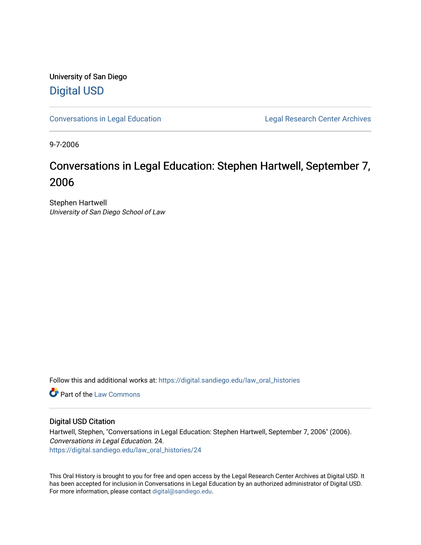University of San Diego [Digital USD](https://digital.sandiego.edu/)

[Conversations in Legal Education](https://digital.sandiego.edu/law_oral_histories) **Legal Research Center Archives** 

9-7-2006

# Conversations in Legal Education: Stephen Hartwell, September 7, 2006

Stephen Hartwell University of San Diego School of Law

Follow this and additional works at: [https://digital.sandiego.edu/law\\_oral\\_histories](https://digital.sandiego.edu/law_oral_histories?utm_source=digital.sandiego.edu%2Flaw_oral_histories%2F24&utm_medium=PDF&utm_campaign=PDFCoverPages) 

**C** Part of the [Law Commons](http://network.bepress.com/hgg/discipline/578?utm_source=digital.sandiego.edu%2Flaw_oral_histories%2F24&utm_medium=PDF&utm_campaign=PDFCoverPages)

#### Digital USD Citation

Hartwell, Stephen, "Conversations in Legal Education: Stephen Hartwell, September 7, 2006" (2006). Conversations in Legal Education. 24. [https://digital.sandiego.edu/law\\_oral\\_histories/24](https://digital.sandiego.edu/law_oral_histories/24?utm_source=digital.sandiego.edu%2Flaw_oral_histories%2F24&utm_medium=PDF&utm_campaign=PDFCoverPages) 

This Oral History is brought to you for free and open access by the Legal Research Center Archives at Digital USD. It has been accepted for inclusion in Conversations in Legal Education by an authorized administrator of Digital USD. For more information, please contact [digital@sandiego.edu](mailto:digital@sandiego.edu).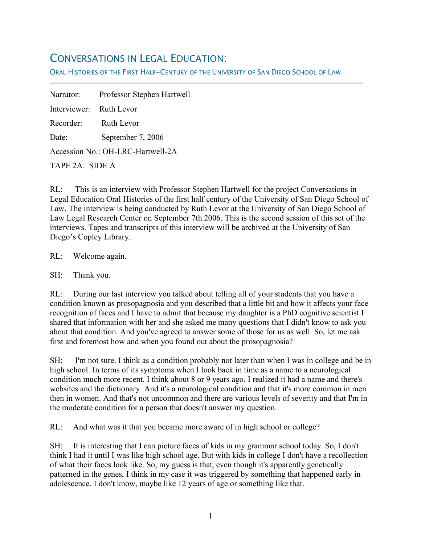## CONVERSATIONS IN LEGAL EDUCATION:

ORAL HISTORIES OF THE FIRST HALF-CENTURY OF THE UNIVERSITY OF SAN DIEGO SCHOOL OF LAW

Narrator: Professor Stephen Hartwell Interviewer: Ruth Levor Recorder: Ruth Levor Date: September 7, 2006 Accession No.: OH-LRC-Hartwell-2A TAPE 2A: SIDE A

RL: This is an interview with Professor Stephen Hartwell for the project Conversations in Legal Education Oral Histories of the first half century of the University of San Diego School of Law. The interview is being conducted by Ruth Levor at the University of San Diego School of Law Legal Research Center on September 7th 2006. This is the second session of this set of the interviews. Tapes and transcripts of this interview will be archived at the University of San Diego's Copley Library.

RL: Welcome again.

SH: Thank you.

f

RL: During our last interview you talked about telling all of your students that you have a condition known as prosopagnosia and you described that a little bit and how it affects your face recognition of faces and I have to admit that because my daughter is a PhD cognitive scientist I shared that information with her and she asked me many questions that I didn't know to ask you about that condition. And you've agreed to answer some of those for us as well. So, let me ask first and foremost how and when you found out about the prosopagnosia?

SH: I'm not sure. I think as a condition probably not later than when I was in college and be in high school. In terms of its symptoms when I look back in time as a name to a neurological condition much more recent. I think about 8 or 9 years ago. I realized it had a name and there's websites and the dictionary. And it's a neurological condition and that it's more common in men then in women. And that's not uncommon and there are various levels of severity and that I'm in the moderate condition for a person that doesn't answer my question.

RL: And what was it that you became more aware of in high school or college?

SH: It is interesting that I can picture faces of kids in my grammar school today. So, I don't think I had it until I was like high school age. But with kids in college I don't have a recollection of what their faces look like. So, my guess is that, even though it's apparently genetically patterned in the genes, I think in my case it was triggered by something that happened early in adolescence. I don't know, maybe like 12 years of age or something like that.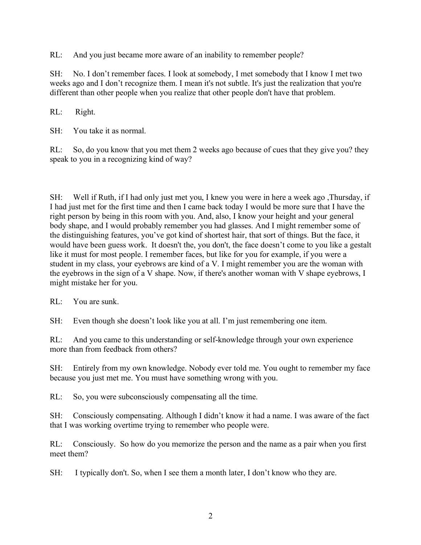RL: And you just became more aware of an inability to remember people?

SH: No. I don't remember faces. I look at somebody, I met somebody that I know I met two weeks ago and I don't recognize them. I mean it's not subtle. It's just the realization that you're different than other people when you realize that other people don't have that problem.

RL: Right.

SH: You take it as normal.

RL: So, do you know that you met them 2 weeks ago because of cues that they give you? they speak to you in a recognizing kind of way?

SH: Well if Ruth, if I had only just met you, I knew you were in here a week ago ,Thursday, if I had just met for the first time and then I came back today I would be more sure that I have the right person by being in this room with you. And, also, I know your height and your general body shape, and I would probably remember you had glasses. And I might remember some of the distinguishing features, you've got kind of shortest hair, that sort of things. But the face, it would have been guess work. It doesn't the, you don't, the face doesn't come to you like a gestalt like it must for most people. I remember faces, but like for you for example, if you were a student in my class, your eyebrows are kind of a V. I might remember you are the woman with the eyebrows in the sign of a V shape. Now, if there's another woman with V shape eyebrows, I might mistake her for you.

RL: You are sunk.

SH: Even though she doesn't look like you at all. I'm just remembering one item.

RL: And you came to this understanding or self-knowledge through your own experience more than from feedback from others?

SH: Entirely from my own knowledge. Nobody ever told me. You ought to remember my face because you just met me. You must have something wrong with you.

RL: So, you were subconsciously compensating all the time.

SH: Consciously compensating. Although I didn't know it had a name. I was aware of the fact that I was working overtime trying to remember who people were.

RL: Consciously. So how do you memorize the person and the name as a pair when you first meet them?

SH: I typically don't. So, when I see them a month later, I don't know who they are.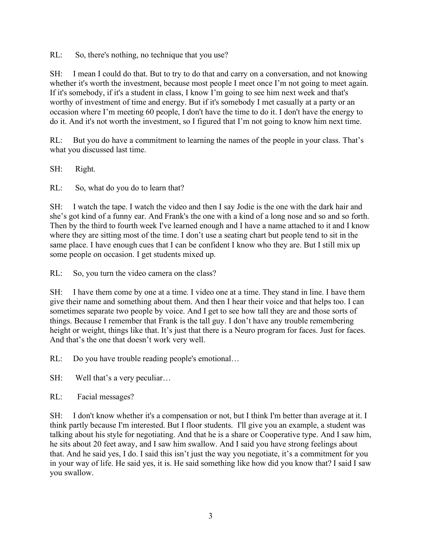RL: So, there's nothing, no technique that you use?

SH: I mean I could do that. But to try to do that and carry on a conversation, and not knowing whether it's worth the investment, because most people I meet once I'm not going to meet again. If it's somebody, if it's a student in class, I know I'm going to see him next week and that's worthy of investment of time and energy. But if it's somebody I met casually at a party or an occasion where I'm meeting 60 people, I don't have the time to do it. I don't have the energy to do it. And it's not worth the investment, so I figured that I'm not going to know him next time.

RL: But you do have a commitment to learning the names of the people in your class. That's what you discussed last time.

SH: Right.

RL: So, what do you do to learn that?

SH: I watch the tape. I watch the video and then I say Jodie is the one with the dark hair and she's got kind of a funny ear. And Frank's the one with a kind of a long nose and so and so forth. Then by the third to fourth week I've learned enough and I have a name attached to it and I know where they are sitting most of the time. I don't use a seating chart but people tend to sit in the same place. I have enough cues that I can be confident I know who they are. But I still mix up some people on occasion. I get students mixed up.

RL: So, you turn the video camera on the class?

SH: I have them come by one at a time. I video one at a time. They stand in line. I have them give their name and something about them. And then I hear their voice and that helps too. I can sometimes separate two people by voice. And I get to see how tall they are and those sorts of things. Because I remember that Frank is the tall guy. I don't have any trouble remembering height or weight, things like that. It's just that there is a Neuro program for faces. Just for faces. And that's the one that doesn't work very well.

RL: Do you have trouble reading people's emotional...

SH: Well that's a very peculiar...

RL: Facial messages?

SH: I don't know whether it's a compensation or not, but I think I'm better than average at it. I think partly because I'm interested. But I floor students. I'll give you an example, a student was talking about his style for negotiating. And that he is a share or Cooperative type. And I saw him, he sits about 20 feet away, and I saw him swallow. And I said you have strong feelings about that. And he said yes, I do. I said this isn't just the way you negotiate, it's a commitment for you in your way of life. He said yes, it is. He said something like how did you know that? I said I saw you swallow.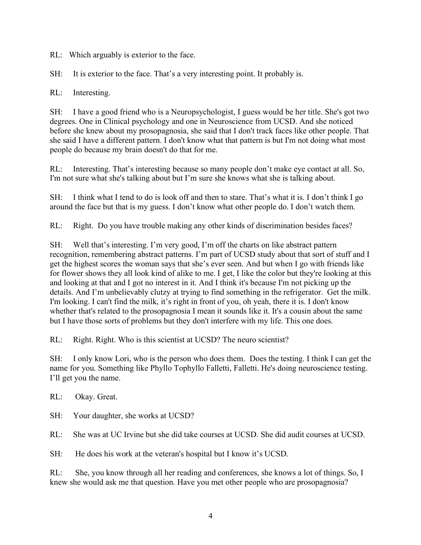RL: Which arguably is exterior to the face.

SH: It is exterior to the face. That's a very interesting point. It probably is.

RL: Interesting.

SH: I have a good friend who is a Neuropsychologist, I guess would be her title. She's got two degrees. One in Clinical psychology and one in Neuroscience from UCSD. And she noticed before she knew about my prosopagnosia, she said that I don't track faces like other people. That she said I have a different pattern. I don't know what that pattern is but I'm not doing what most people do because my brain doesn't do that for me.

RL: Interesting. That's interesting because so many people don't make eye contact at all. So, I'm not sure what she's talking about but I'm sure she knows what she is talking about.

SH: I think what I tend to do is look off and then to stare. That's what it is. I don't think I go around the face but that is my guess. I don't know what other people do. I don't watch them.

RL: Right. Do you have trouble making any other kinds of discrimination besides faces?

SH: Well that's interesting. I'm very good, I'm off the charts on like abstract pattern recognition, remembering abstract patterns. I'm part of UCSD study about that sort of stuff and I get the highest scores the woman says that she's ever seen. And but when I go with friends like for flower shows they all look kind of alike to me. I get, I like the color but they're looking at this and looking at that and I got no interest in it. And I think it's because I'm not picking up the details. And I'm unbelievably clutzy at trying to find something in the refrigerator. Get the milk. I'm looking. I can't find the milk, it's right in front of you, oh yeah, there it is. I don't know whether that's related to the prosopagnosia I mean it sounds like it. It's a cousin about the same but I have those sorts of problems but they don't interfere with my life. This one does.

RL: Right. Right. Who is this scientist at UCSD? The neuro scientist?

SH: I only know Lori, who is the person who does them. Does the testing. I think I can get the name for you. Something like Phyllo Tophyllo Falletti, Falletti. He's doing neuroscience testing. I'll get you the name.

RL: Okay. Great.

SH: Your daughter, she works at UCSD?

RL: She was at UC Irvine but she did take courses at UCSD. She did audit courses at UCSD.

SH: He does his work at the veteran's hospital but I know it's UCSD.

RL: She, you know through all her reading and conferences, she knows a lot of things. So, I knew she would ask me that question. Have you met other people who are prosopagnosia?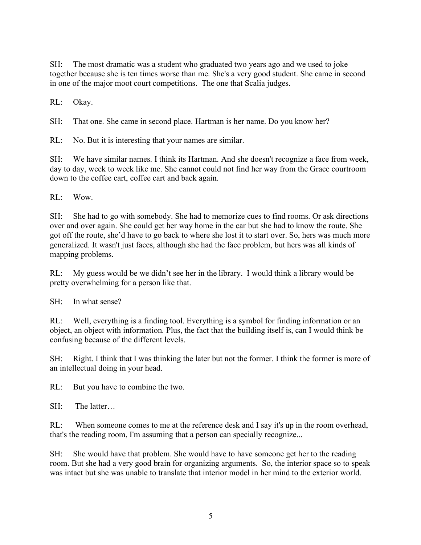SH: The most dramatic was a student who graduated two years ago and we used to joke together because she is ten times worse than me. She's a very good student. She came in second in one of the major moot court competitions. The one that Scalia judges.

RL: Okay.

SH: That one. She came in second place. Hartman is her name. Do you know her?

RL: No. But it is interesting that your names are similar.

SH: We have similar names. I think its Hartman. And she doesn't recognize a face from week, day to day, week to week like me. She cannot could not find her way from the Grace courtroom down to the coffee cart, coffee cart and back again.

 $RI:$  Wow.

SH: She had to go with somebody. She had to memorize cues to find rooms. Or ask directions over and over again. She could get her way home in the car but she had to know the route. She got off the route, she'd have to go back to where she lost it to start over. So, hers was much more generalized. It wasn't just faces, although she had the face problem, but hers was all kinds of mapping problems.

RL: My guess would be we didn't see her in the library. I would think a library would be pretty overwhelming for a person like that.

SH: In what sense?

RL: Well, everything is a finding tool. Everything is a symbol for finding information or an object, an object with information. Plus, the fact that the building itself is, can I would think be confusing because of the different levels.

SH: Right. I think that I was thinking the later but not the former. I think the former is more of an intellectual doing in your head.

RL: But you have to combine the two.

SH: The latter…

RL: When someone comes to me at the reference desk and I say it's up in the room overhead, that's the reading room, I'm assuming that a person can specially recognize...

SH: She would have that problem. She would have to have someone get her to the reading room. But she had a very good brain for organizing arguments. So, the interior space so to speak was intact but she was unable to translate that interior model in her mind to the exterior world.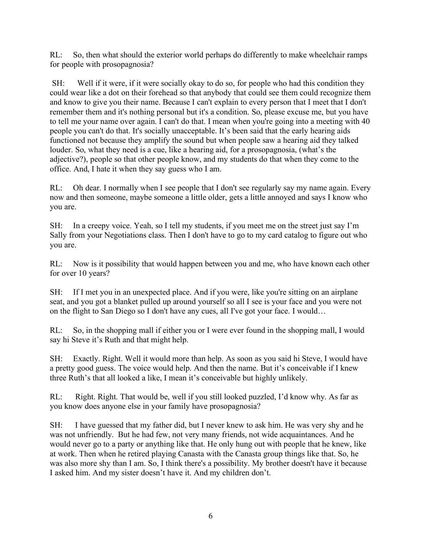RL: So, then what should the exterior world perhaps do differently to make wheelchair ramps for people with prosopagnosia?

SH: Well if it were, if it were socially okay to do so, for people who had this condition they could wear like a dot on their forehead so that anybody that could see them could recognize them and know to give you their name. Because I can't explain to every person that I meet that I don't remember them and it's nothing personal but it's a condition. So, please excuse me, but you have to tell me your name over again. I can't do that. I mean when you're going into a meeting with 40 people you can't do that. It's socially unacceptable. It's been said that the early hearing aids functioned not because they amplify the sound but when people saw a hearing aid they talked louder. So, what they need is a cue, like a hearing aid, for a prosopagnosia, (what's the adjective?), people so that other people know, and my students do that when they come to the office. And, I hate it when they say guess who I am.

RL: Oh dear. I normally when I see people that I don't see regularly say my name again. Every now and then someone, maybe someone a little older, gets a little annoyed and says I know who you are.

SH: In a creepy voice. Yeah, so I tell my students, if you meet me on the street just say I'm Sally from your Negotiations class. Then I don't have to go to my card catalog to figure out who you are.

RL: Now is it possibility that would happen between you and me, who have known each other for over 10 years?

SH: If I met you in an unexpected place. And if you were, like you're sitting on an airplane seat, and you got a blanket pulled up around yourself so all I see is your face and you were not on the flight to San Diego so I don't have any cues, all I've got your face. I would…

RL: So, in the shopping mall if either you or I were ever found in the shopping mall, I would say hi Steve it's Ruth and that might help.

SH: Exactly. Right. Well it would more than help. As soon as you said hi Steve, I would have a pretty good guess. The voice would help. And then the name. But it's conceivable if I knew three Ruth's that all looked a like, I mean it's conceivable but highly unlikely.

RL: Right. Right. That would be, well if you still looked puzzled, I'd know why. As far as you know does anyone else in your family have prosopagnosia?

SH: I have guessed that my father did, but I never knew to ask him. He was very shy and he was not unfriendly. But he had few, not very many friends, not wide acquaintances. And he would never go to a party or anything like that. He only hung out with people that he knew, like at work. Then when he retired playing Canasta with the Canasta group things like that. So, he was also more shy than I am. So, I think there's a possibility. My brother doesn't have it because I asked him. And my sister doesn't have it. And my children don't.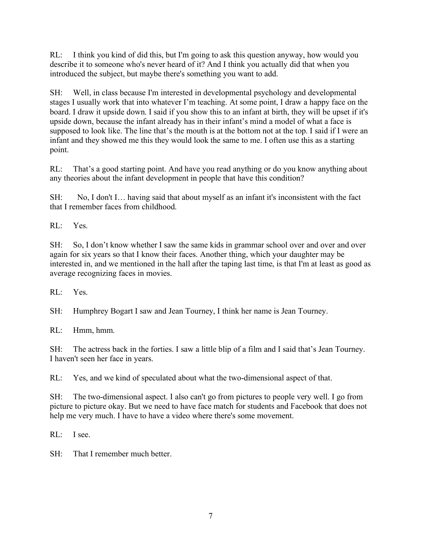RL: I think you kind of did this, but I'm going to ask this question anyway, how would you describe it to someone who's never heard of it? And I think you actually did that when you introduced the subject, but maybe there's something you want to add.

SH: Well, in class because I'm interested in developmental psychology and developmental stages I usually work that into whatever I'm teaching. At some point, I draw a happy face on the board. I draw it upside down. I said if you show this to an infant at birth, they will be upset if it's upside down, because the infant already has in their infant's mind a model of what a face is supposed to look like. The line that's the mouth is at the bottom not at the top. I said if I were an infant and they showed me this they would look the same to me. I often use this as a starting point.

RL: That's a good starting point. And have you read anything or do you know anything about any theories about the infant development in people that have this condition?

SH: No, I don't I… having said that about myself as an infant it's inconsistent with the fact that I remember faces from childhood.

RL: Yes.

SH: So, I don't know whether I saw the same kids in grammar school over and over and over again for six years so that I know their faces. Another thing, which your daughter may be interested in, and we mentioned in the hall after the taping last time, is that I'm at least as good as average recognizing faces in movies.

RL: Yes.

SH: Humphrey Bogart I saw and Jean Tourney, I think her name is Jean Tourney.

RL: Hmm, hmm.

SH: The actress back in the forties. I saw a little blip of a film and I said that's Jean Tourney. I haven't seen her face in years.

RL: Yes, and we kind of speculated about what the two-dimensional aspect of that.

SH: The two-dimensional aspect. I also can't go from pictures to people very well. I go from picture to picture okay. But we need to have face match for students and Facebook that does not help me very much. I have to have a video where there's some movement.

RL: I see.

SH: That I remember much better.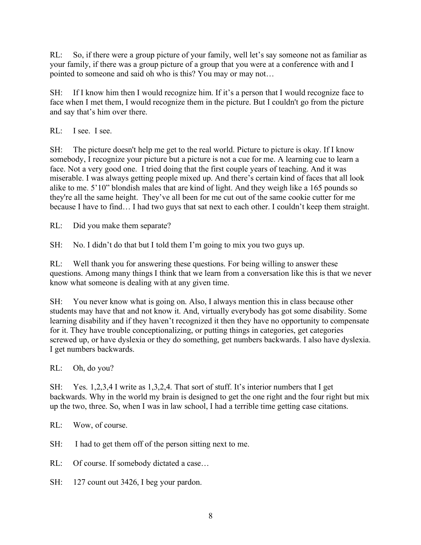RL: So, if there were a group picture of your family, well let's say someone not as familiar as your family, if there was a group picture of a group that you were at a conference with and I pointed to someone and said oh who is this? You may or may not…

SH: If I know him then I would recognize him. If it's a person that I would recognize face to face when I met them, I would recognize them in the picture. But I couldn't go from the picture and say that's him over there.

RL: I see. I see.

SH: The picture doesn't help me get to the real world. Picture to picture is okay. If I know somebody, I recognize your picture but a picture is not a cue for me. A learning cue to learn a face. Not a very good one. I tried doing that the first couple years of teaching. And it was miserable. I was always getting people mixed up. And there's certain kind of faces that all look alike to me. 5'10" blondish males that are kind of light. And they weigh like a 165 pounds so they're all the same height. They've all been for me cut out of the same cookie cutter for me because I have to find… I had two guys that sat next to each other. I couldn't keep them straight.

RL: Did you make them separate?

SH: No. I didn't do that but I told them I'm going to mix you two guys up.

RL: Well thank you for answering these questions. For being willing to answer these questions. Among many things I think that we learn from a conversation like this is that we never know what someone is dealing with at any given time.

SH: You never know what is going on. Also, I always mention this in class because other students may have that and not know it. And, virtually everybody has got some disability. Some learning disability and if they haven't recognized it then they have no opportunity to compensate for it. They have trouble conceptionalizing, or putting things in categories, get categories screwed up, or have dyslexia or they do something, get numbers backwards. I also have dyslexia. I get numbers backwards.

RL: Oh, do you?

SH: Yes. 1,2,3,4 I write as 1,3,2,4. That sort of stuff. It's interior numbers that I get backwards. Why in the world my brain is designed to get the one right and the four right but mix up the two, three. So, when I was in law school, I had a terrible time getting case citations.

RL: Wow, of course.

SH: I had to get them off of the person sitting next to me.

RL: Of course. If somebody dictated a case...

SH: 127 count out 3426, I beg your pardon.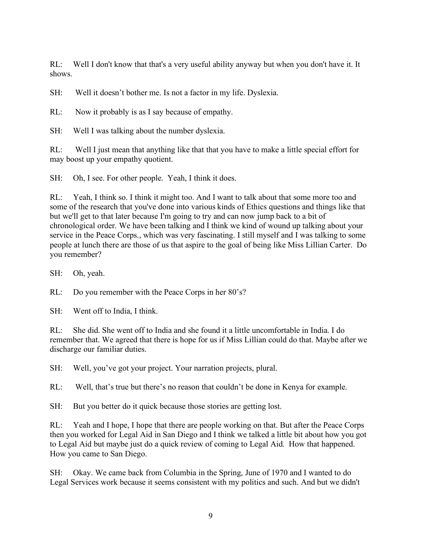RL: Well I don't know that that's a very useful ability anyway but when you don't have it. It shows.

SH: Well it doesn't bother me. Is not a factor in my life. Dyslexia.

RL: Now it probably is as I say because of empathy.

SH: Well I was talking about the number dyslexia.

RL: Well I just mean that anything like that that you have to make a little special effort for may boost up your empathy quotient.

SH: Oh, I see. For other people. Yeah, I think it does.

RL: Yeah, I think so. I think it might too. And I want to talk about that some more too and some of the research that you've done into various kinds of Ethics questions and things like that but we'll get to that later because I'm going to try and can now jump back to a bit of chronological order. We have been talking and I think we kind of wound up talking about your service in the Peace Corps., which was very fascinating. I still myself and I was talking to some people at lunch there are those of us that aspire to the goal of being like Miss Lillian Carter. Do you remember?

SH: Oh, yeah.

RL: Do you remember with the Peace Corps in her 80's?

SH: Went off to India, I think.

RL: She did. She went off to India and she found it a little uncomfortable in India. I do remember that. We agreed that there is hope for us if Miss Lillian could do that. Maybe after we discharge our familiar duties.

SH: Well, you've got your project. Your narration projects, plural.

RL: Well, that's true but there's no reason that couldn't be done in Kenya for example.

SH: But you better do it quick because those stories are getting lost.

RL: Yeah and I hope, I hope that there are people working on that. But after the Peace Corps then you worked for Legal Aid in San Diego and I think we talked a little bit about how you got to Legal Aid but maybe just do a quick review of coming to Legal Aid. How that happened. How you came to San Diego.

SH: Okay. We came back from Columbia in the Spring, June of 1970 and I wanted to do Legal Services work because it seems consistent with my politics and such. And but we didn't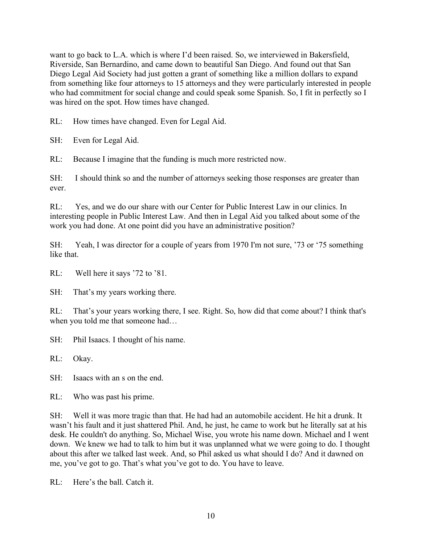want to go back to L.A. which is where I'd been raised. So, we interviewed in Bakersfield, Riverside, San Bernardino, and came down to beautiful San Diego. And found out that San Diego Legal Aid Society had just gotten a grant of something like a million dollars to expand from something like four attorneys to 15 attorneys and they were particularly interested in people who had commitment for social change and could speak some Spanish. So, I fit in perfectly so I was hired on the spot. How times have changed.

RL: How times have changed. Even for Legal Aid.

SH: Even for Legal Aid.

RL: Because I imagine that the funding is much more restricted now.

SH: I should think so and the number of attorneys seeking those responses are greater than ever.

RL: Yes, and we do our share with our Center for Public Interest Law in our clinics. In interesting people in Public Interest Law. And then in Legal Aid you talked about some of the work you had done. At one point did you have an administrative position?

SH: Yeah, I was director for a couple of years from 1970 I'm not sure, '73 or '75 something like that.

RL: Well here it says '72 to '81.

SH: That's my years working there.

RL: That's your years working there, I see. Right. So, how did that come about? I think that's when you told me that someone had…

SH: Phil Isaacs. I thought of his name.

RL: Okay.

SH: Isaacs with an s on the end.

RL: Who was past his prime.

SH: Well it was more tragic than that. He had had an automobile accident. He hit a drunk. It wasn't his fault and it just shattered Phil. And, he just, he came to work but he literally sat at his desk. He couldn't do anything. So, Michael Wise, you wrote his name down. Michael and I went down. We knew we had to talk to him but it was unplanned what we were going to do. I thought about this after we talked last week. And, so Phil asked us what should I do? And it dawned on me, you've got to go. That's what you've got to do. You have to leave.

 $RI:$  Here's the ball. Catch it.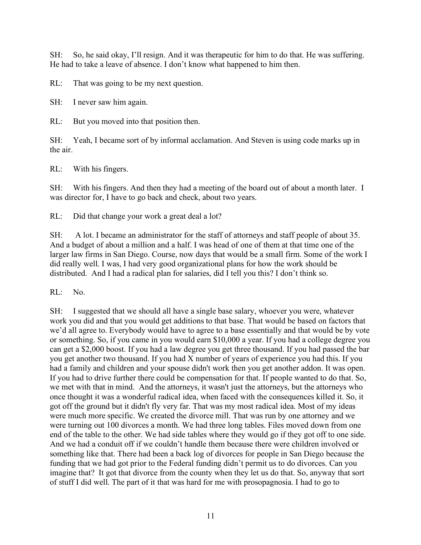SH: So, he said okay, I'll resign. And it was therapeutic for him to do that. He was suffering. He had to take a leave of absence. I don't know what happened to him then.

RL: That was going to be my next question.

SH: I never saw him again.

RL: But you moved into that position then.

SH: Yeah, I became sort of by informal acclamation. And Steven is using code marks up in the air.

RL: With his fingers.

SH: With his fingers. And then they had a meeting of the board out of about a month later. I was director for, I have to go back and check, about two years.

RL: Did that change your work a great deal a lot?

SH: A lot. I became an administrator for the staff of attorneys and staff people of about 35. And a budget of about a million and a half. I was head of one of them at that time one of the larger law firms in San Diego. Course, now days that would be a small firm. Some of the work I did really well. I was, I had very good organizational plans for how the work should be distributed. And I had a radical plan for salaries, did I tell you this? I don't think so.

RL: No.

SH: I suggested that we should all have a single base salary, whoever you were, whatever work you did and that you would get additions to that base. That would be based on factors that we'd all agree to. Everybody would have to agree to a base essentially and that would be by vote or something. So, if you came in you would earn \$10,000 a year. If you had a college degree you can get a \$2,000 boost. If you had a law degree you get three thousand. If you had passed the bar you get another two thousand. If you had X number of years of experience you had this. If you had a family and children and your spouse didn't work then you get another addon. It was open. If you had to drive further there could be compensation for that. If people wanted to do that. So, we met with that in mind. And the attorneys, it wasn't just the attorneys, but the attorneys who once thought it was a wonderful radical idea, when faced with the consequences killed it. So, it got off the ground but it didn't fly very far. That was my most radical idea. Most of my ideas were much more specific. We created the divorce mill. That was run by one attorney and we were turning out 100 divorces a month. We had three long tables. Files moved down from one end of the table to the other. We had side tables where they would go if they got off to one side. And we had a conduit off if we couldn't handle them because there were children involved or something like that. There had been a back log of divorces for people in San Diego because the funding that we had got prior to the Federal funding didn't permit us to do divorces. Can you imagine that? It got that divorce from the county when they let us do that. So, anyway that sort of stuff I did well. The part of it that was hard for me with prosopagnosia. I had to go to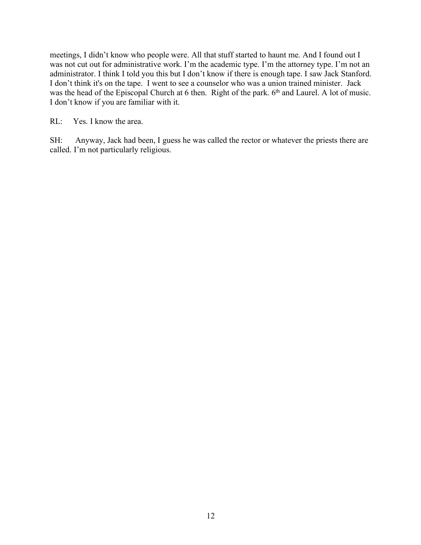meetings, I didn't know who people were. All that stuff started to haunt me. And I found out I was not cut out for administrative work. I'm the academic type. I'm the attorney type. I'm not an administrator. I think I told you this but I don't know if there is enough tape. I saw Jack Stanford. I don't think it's on the tape. I went to see a counselor who was a union trained minister. Jack was the head of the Episcopal Church at 6 then. Right of the park. 6<sup>th</sup> and Laurel. A lot of music. I don't know if you are familiar with it.

RL: Yes. I know the area.

SH: Anyway, Jack had been, I guess he was called the rector or whatever the priests there are called. I'm not particularly religious.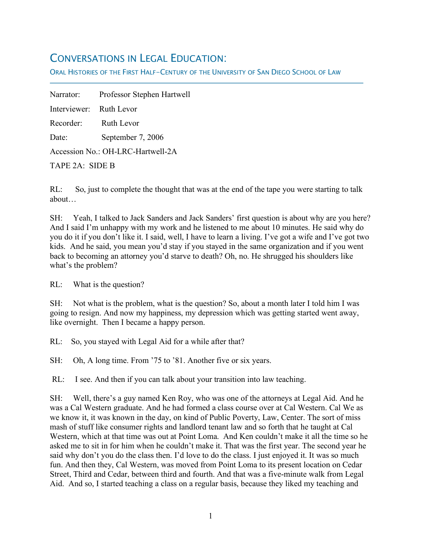## CONVERSATIONS IN LEGAL EDUCATION:

ORAL HISTORIES OF THE FIRST HALF-CENTURY OF THE UNIVERSITY OF SAN DIEGO SCHOOL OF LAW

Narrator: Professor Stephen Hartwell Interviewer: Ruth Levor Recorder: Ruth Levor Date: September 7, 2006 Accession No.: OH-LRC-Hartwell-2A

TAPE 2A: SIDE B

f

RL: So, just to complete the thought that was at the end of the tape you were starting to talk about…

SH: Yeah, I talked to Jack Sanders and Jack Sanders' first question is about why are you here? And I said I'm unhappy with my work and he listened to me about 10 minutes. He said why do you do it if you don't like it. I said, well, I have to learn a living. I've got a wife and I've got two kids. And he said, you mean you'd stay if you stayed in the same organization and if you went back to becoming an attorney you'd starve to death? Oh, no. He shrugged his shoulders like what's the problem?

RL: What is the question?

SH: Not what is the problem, what is the question? So, about a month later I told him I was going to resign. And now my happiness, my depression which was getting started went away, like overnight. Then I became a happy person.

RL: So, you stayed with Legal Aid for a while after that?

SH: Oh, A long time. From '75 to '81. Another five or six years.

RL: I see. And then if you can talk about your transition into law teaching.

SH: Well, there's a guy named Ken Roy, who was one of the attorneys at Legal Aid. And he was a Cal Western graduate. And he had formed a class course over at Cal Western. Cal We as we know it, it was known in the day, on kind of Public Poverty, Law, Center. The sort of miss mash of stuff like consumer rights and landlord tenant law and so forth that he taught at Cal Western, which at that time was out at Point Loma. And Ken couldn't make it all the time so he asked me to sit in for him when he couldn't make it. That was the first year. The second year he said why don't you do the class then. I'd love to do the class. I just enjoyed it. It was so much fun. And then they, Cal Western, was moved from Point Loma to its present location on Cedar Street, Third and Cedar, between third and fourth. And that was a five-minute walk from Legal Aid. And so, I started teaching a class on a regular basis, because they liked my teaching and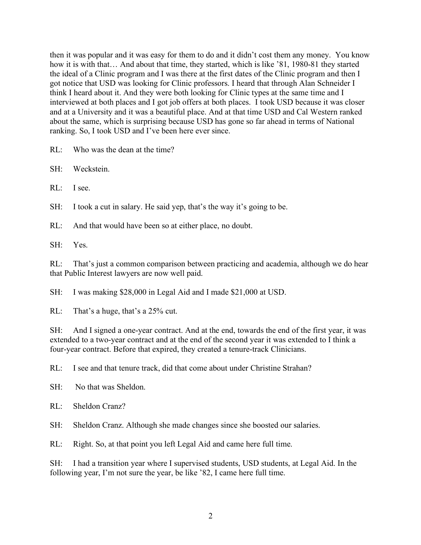then it was popular and it was easy for them to do and it didn't cost them any money. You know how it is with that… And about that time, they started, which is like '81, 1980-81 they started the ideal of a Clinic program and I was there at the first dates of the Clinic program and then I got notice that USD was looking for Clinic professors. I heard that through Alan Schneider I think I heard about it. And they were both looking for Clinic types at the same time and I interviewed at both places and I got job offers at both places. I took USD because it was closer and at a University and it was a beautiful place. And at that time USD and Cal Western ranked about the same, which is surprising because USD has gone so far ahead in terms of National ranking. So, I took USD and I've been here ever since.

RL: Who was the dean at the time?

SH: Weckstein.

RL: I see.

SH: I took a cut in salary. He said yep, that's the way it's going to be.

RL: And that would have been so at either place, no doubt.

SH: Yes.

RL: That's just a common comparison between practicing and academia, although we do hear that Public Interest lawyers are now well paid.

SH: I was making \$28,000 in Legal Aid and I made \$21,000 at USD.

RL: That's a huge, that's a 25% cut.

SH: And I signed a one-year contract. And at the end, towards the end of the first year, it was extended to a two-year contract and at the end of the second year it was extended to I think a four-year contract. Before that expired, they created a tenure-track Clinicians.

RL: I see and that tenure track, did that come about under Christine Strahan?

SH: No that was Sheldon.

RL: Sheldon Cranz?

SH: Sheldon Cranz. Although she made changes since she boosted our salaries.

RL: Right. So, at that point you left Legal Aid and came here full time.

SH: I had a transition year where I supervised students, USD students, at Legal Aid. In the following year, I'm not sure the year, be like '82, I came here full time.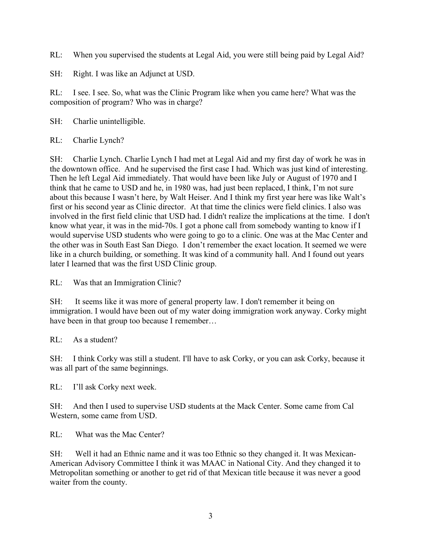RL: When you supervised the students at Legal Aid, you were still being paid by Legal Aid?

SH: Right. I was like an Adjunct at USD.

RL: I see. I see. So, what was the Clinic Program like when you came here? What was the composition of program? Who was in charge?

SH: Charlie unintelligible.

RL: Charlie Lynch?

SH: Charlie Lynch. Charlie Lynch I had met at Legal Aid and my first day of work he was in the downtown office. And he supervised the first case I had. Which was just kind of interesting. Then he left Legal Aid immediately. That would have been like July or August of 1970 and I think that he came to USD and he, in 1980 was, had just been replaced, I think, I'm not sure about this because I wasn't here, by Walt Heiser. And I think my first year here was like Walt's first or his second year as Clinic director. At that time the clinics were field clinics. I also was involved in the first field clinic that USD had. I didn't realize the implications at the time. I don't know what year, it was in the mid-70s. I got a phone call from somebody wanting to know if I would supervise USD students who were going to go to a clinic. One was at the Mac Center and the other was in South East San Diego. I don't remember the exact location. It seemed we were like in a church building, or something. It was kind of a community hall. And I found out years later I learned that was the first USD Clinic group.

RL: Was that an Immigration Clinic?

SH: It seems like it was more of general property law. I don't remember it being on immigration. I would have been out of my water doing immigration work anyway. Corky might have been in that group too because I remember...

RL: As a student?

SH: I think Corky was still a student. I'll have to ask Corky, or you can ask Corky, because it was all part of the same beginnings.

RL: I'll ask Corky next week.

SH: And then I used to supervise USD students at the Mack Center. Some came from Cal Western, some came from USD.

RL: What was the Mac Center?

SH: Well it had an Ethnic name and it was too Ethnic so they changed it. It was Mexican-American Advisory Committee I think it was MAAC in National City. And they changed it to Metropolitan something or another to get rid of that Mexican title because it was never a good waiter from the county.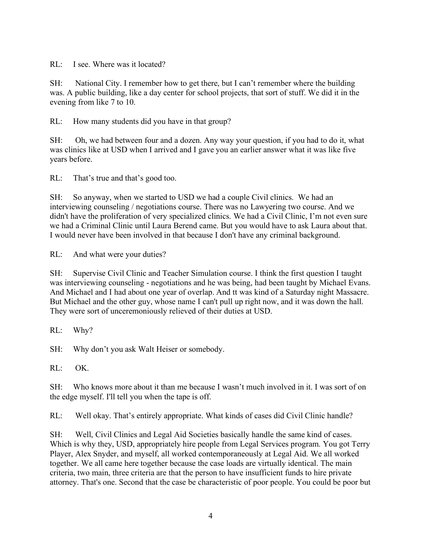RL: I see. Where was it located?

SH: National City. I remember how to get there, but I can't remember where the building was. A public building, like a day center for school projects, that sort of stuff. We did it in the evening from like 7 to 10.

RL: How many students did you have in that group?

SH: Oh, we had between four and a dozen. Any way your question, if you had to do it, what was clinics like at USD when I arrived and I gave you an earlier answer what it was like five years before.

RL: That's true and that's good too.

SH: So anyway, when we started to USD we had a couple Civil clinics. We had an interviewing counseling / negotiations course. There was no Lawyering two course. And we didn't have the proliferation of very specialized clinics. We had a Civil Clinic, I'm not even sure we had a Criminal Clinic until Laura Berend came. But you would have to ask Laura about that. I would never have been involved in that because I don't have any criminal background.

RL: And what were your duties?

SH: Supervise Civil Clinic and Teacher Simulation course. I think the first question I taught was interviewing counseling - negotiations and he was being, had been taught by Michael Evans. And Michael and I had about one year of overlap. And tt was kind of a Saturday night Massacre. But Michael and the other guy, whose name I can't pull up right now, and it was down the hall. They were sort of unceremoniously relieved of their duties at USD.

RL: Why?

SH: Why don't you ask Walt Heiser or somebody.

RL: OK.

SH: Who knows more about it than me because I wasn't much involved in it. I was sort of on the edge myself. I'll tell you when the tape is off.

RL: Well okay. That's entirely appropriate. What kinds of cases did Civil Clinic handle?

SH: Well, Civil Clinics and Legal Aid Societies basically handle the same kind of cases. Which is why they, USD, appropriately hire people from Legal Services program. You got Terry Player, Alex Snyder, and myself, all worked contemporaneously at Legal Aid. We all worked together. We all came here together because the case loads are virtually identical. The main criteria, two main, three criteria are that the person to have insufficient funds to hire private attorney. That's one. Second that the case be characteristic of poor people. You could be poor but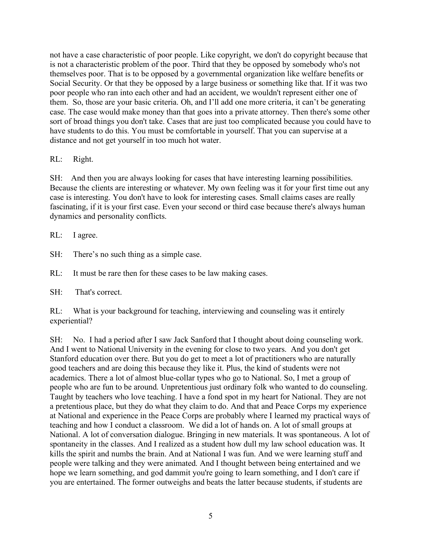not have a case characteristic of poor people. Like copyright, we don't do copyright because that is not a characteristic problem of the poor. Third that they be opposed by somebody who's not themselves poor. That is to be opposed by a governmental organization like welfare benefits or Social Security. Or that they be opposed by a large business or something like that. If it was two poor people who ran into each other and had an accident, we wouldn't represent either one of them. So, those are your basic criteria. Oh, and I'll add one more criteria, it can't be generating case. The case would make money than that goes into a private attorney. Then there's some other sort of broad things you don't take. Cases that are just too complicated because you could have to have students to do this. You must be comfortable in yourself. That you can supervise at a distance and not get yourself in too much hot water.

#### RL: Right.

SH: And then you are always looking for cases that have interesting learning possibilities. Because the clients are interesting or whatever. My own feeling was it for your first time out any case is interesting. You don't have to look for interesting cases. Small claims cases are really fascinating, if it is your first case. Even your second or third case because there's always human dynamics and personality conflicts.

RL: I agree.

SH: There's no such thing as a simple case.

RL: It must be rare then for these cases to be law making cases.

SH: That's correct.

RL: What is your background for teaching, interviewing and counseling was it entirely experiential?

SH: No. I had a period after I saw Jack Sanford that I thought about doing counseling work. And I went to National University in the evening for close to two years. And you don't get Stanford education over there. But you do get to meet a lot of practitioners who are naturally good teachers and are doing this because they like it. Plus, the kind of students were not academics. There a lot of almost blue-collar types who go to National. So, I met a group of people who are fun to be around. Unpretentious just ordinary folk who wanted to do counseling. Taught by teachers who love teaching. I have a fond spot in my heart for National. They are not a pretentious place, but they do what they claim to do. And that and Peace Corps my experience at National and experience in the Peace Corps are probably where I learned my practical ways of teaching and how I conduct a classroom. We did a lot of hands on. A lot of small groups at National. A lot of conversation dialogue. Bringing in new materials. It was spontaneous. A lot of spontaneity in the classes. And I realized as a student how dull my law school education was. It kills the spirit and numbs the brain. And at National I was fun. And we were learning stuff and people were talking and they were animated. And I thought between being entertained and we hope we learn something, and god dammit you're going to learn something, and I don't care if you are entertained. The former outweighs and beats the latter because students, if students are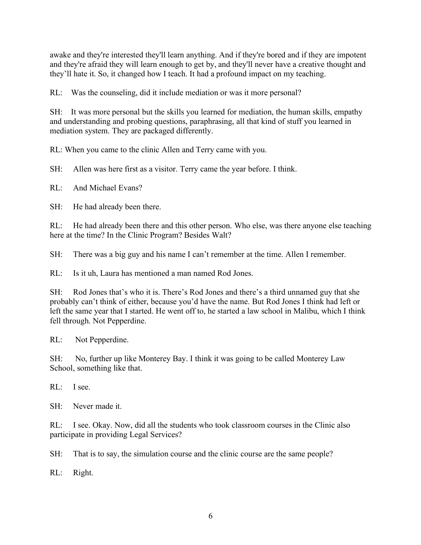awake and they're interested they'll learn anything. And if they're bored and if they are impotent and they're afraid they will learn enough to get by, and they'll never have a creative thought and they'll hate it. So, it changed how I teach. It had a profound impact on my teaching.

RL: Was the counseling, did it include mediation or was it more personal?

SH: It was more personal but the skills you learned for mediation, the human skills, empathy and understanding and probing questions, paraphrasing, all that kind of stuff you learned in mediation system. They are packaged differently.

RL: When you came to the clinic Allen and Terry came with you.

SH: Allen was here first as a visitor. Terry came the year before. I think.

RL: And Michael Evans?

SH: He had already been there.

RL: He had already been there and this other person. Who else, was there anyone else teaching here at the time? In the Clinic Program? Besides Walt?

SH: There was a big guy and his name I can't remember at the time. Allen I remember.

RL: Is it uh, Laura has mentioned a man named Rod Jones.

SH: Rod Jones that's who it is. There's Rod Jones and there's a third unnamed guy that she probably can't think of either, because you'd have the name. But Rod Jones I think had left or left the same year that I started. He went off to, he started a law school in Malibu, which I think fell through. Not Pepperdine.

RL: Not Pepperdine.

SH: No, further up like Monterey Bay. I think it was going to be called Monterey Law School, something like that.

RL: I see.

SH: Never made it.

RL: I see. Okay. Now, did all the students who took classroom courses in the Clinic also participate in providing Legal Services?

SH: That is to say, the simulation course and the clinic course are the same people?

RL: Right.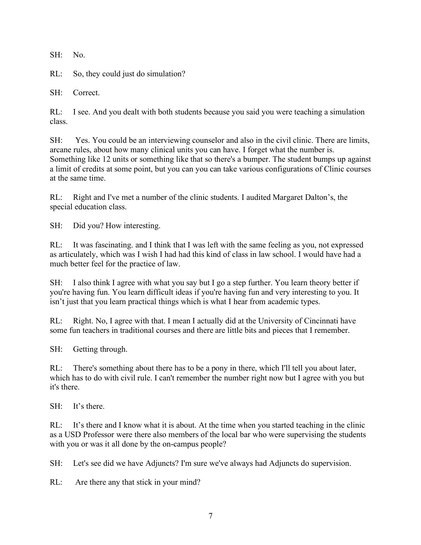SH: No.

RL: So, they could just do simulation?

SH: Correct.

RL: I see. And you dealt with both students because you said you were teaching a simulation class.

SH: Yes. You could be an interviewing counselor and also in the civil clinic. There are limits, arcane rules, about how many clinical units you can have. I forget what the number is. Something like 12 units or something like that so there's a bumper. The student bumps up against a limit of credits at some point, but you can you can take various configurations of Clinic courses at the same time.

RL: Right and I've met a number of the clinic students. I audited Margaret Dalton's, the special education class.

SH: Did you? How interesting.

RL: It was fascinating. and I think that I was left with the same feeling as you, not expressed as articulately, which was I wish I had had this kind of class in law school. I would have had a much better feel for the practice of law.

SH: I also think I agree with what you say but I go a step further. You learn theory better if you're having fun. You learn difficult ideas if you're having fun and very interesting to you. It isn't just that you learn practical things which is what I hear from academic types.

RL: Right. No, I agree with that. I mean I actually did at the University of Cincinnati have some fun teachers in traditional courses and there are little bits and pieces that I remember.

SH: Getting through.

RL: There's something about there has to be a pony in there, which I'll tell you about later, which has to do with civil rule. I can't remember the number right now but I agree with you but it's there.

SH: It's there.

RL: It's there and I know what it is about. At the time when you started teaching in the clinic as a USD Professor were there also members of the local bar who were supervising the students with you or was it all done by the on-campus people?

SH: Let's see did we have Adjuncts? I'm sure we've always had Adjuncts do supervision.

RL: Are there any that stick in your mind?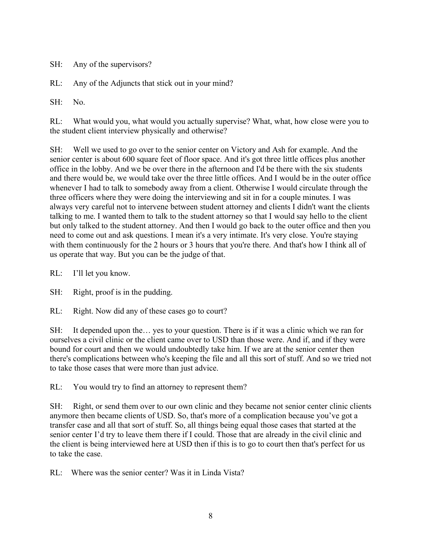SH: Any of the supervisors?

RL: Any of the Adjuncts that stick out in your mind?

 $SH: No.$ 

RL: What would you, what would you actually supervise? What, what, how close were you to the student client interview physically and otherwise?

SH: Well we used to go over to the senior center on Victory and Ash for example. And the senior center is about 600 square feet of floor space. And it's got three little offices plus another office in the lobby. And we be over there in the afternoon and I'd be there with the six students and there would be, we would take over the three little offices. And I would be in the outer office whenever I had to talk to somebody away from a client. Otherwise I would circulate through the three officers where they were doing the interviewing and sit in for a couple minutes. I was always very careful not to intervene between student attorney and clients I didn't want the clients talking to me. I wanted them to talk to the student attorney so that I would say hello to the client but only talked to the student attorney. And then I would go back to the outer office and then you need to come out and ask questions. I mean it's a very intimate. It's very close. You're staying with them continuously for the 2 hours or 3 hours that you're there. And that's how I think all of us operate that way. But you can be the judge of that.

RL: I'll let you know.

SH: Right, proof is in the pudding.

RL: Right. Now did any of these cases go to court?

SH: It depended upon the… yes to your question. There is if it was a clinic which we ran for ourselves a civil clinic or the client came over to USD than those were. And if, and if they were bound for court and then we would undoubtedly take him. If we are at the senior center then there's complications between who's keeping the file and all this sort of stuff. And so we tried not to take those cases that were more than just advice.

RL: You would try to find an attorney to represent them?

SH: Right, or send them over to our own clinic and they became not senior center clinic clients anymore then became clients of USD. So, that's more of a complication because you've got a transfer case and all that sort of stuff. So, all things being equal those cases that started at the senior center I'd try to leave them there if I could. Those that are already in the civil clinic and the client is being interviewed here at USD then if this is to go to court then that's perfect for us to take the case.

RL: Where was the senior center? Was it in Linda Vista?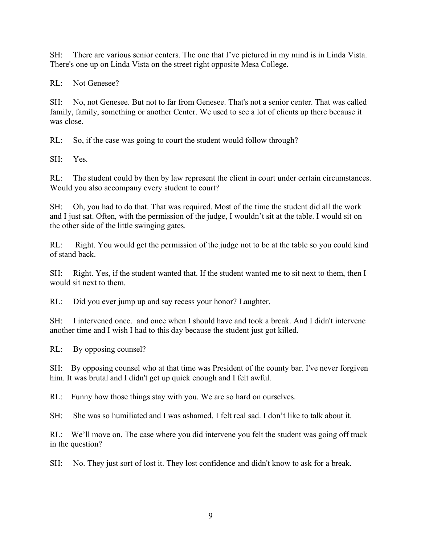SH: There are various senior centers. The one that I've pictured in my mind is in Linda Vista. There's one up on Linda Vista on the street right opposite Mesa College.

RL: Not Genesee?

SH: No, not Genesee. But not to far from Genesee. That's not a senior center. That was called family, family, something or another Center. We used to see a lot of clients up there because it was close.

RL: So, if the case was going to court the student would follow through?

SH: Yes.

RL: The student could by then by law represent the client in court under certain circumstances. Would you also accompany every student to court?

SH: Oh, you had to do that. That was required. Most of the time the student did all the work and I just sat. Often, with the permission of the judge, I wouldn't sit at the table. I would sit on the other side of the little swinging gates.

RL: Right. You would get the permission of the judge not to be at the table so you could kind of stand back.

SH: Right. Yes, if the student wanted that. If the student wanted me to sit next to them, then I would sit next to them.

RL: Did you ever jump up and say recess your honor? Laughter.

SH: I intervened once. and once when I should have and took a break. And I didn't intervene another time and I wish I had to this day because the student just got killed.

RL: By opposing counsel?

SH: By opposing counsel who at that time was President of the county bar. I've never forgiven him. It was brutal and I didn't get up quick enough and I felt awful.

RL: Funny how those things stay with you. We are so hard on ourselves.

SH: She was so humiliated and I was ashamed. I felt real sad. I don't like to talk about it.

RL: We'll move on. The case where you did intervene you felt the student was going off track in the question?

SH: No. They just sort of lost it. They lost confidence and didn't know to ask for a break.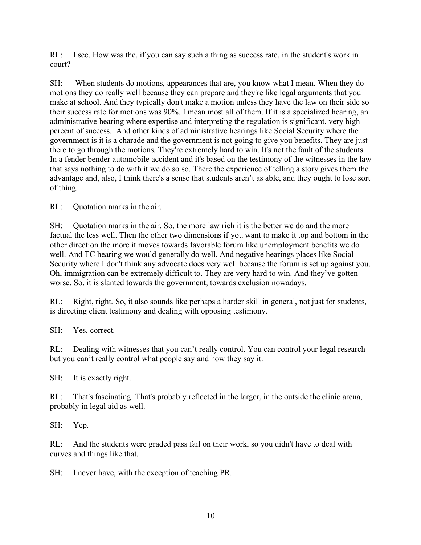RL: I see. How was the, if you can say such a thing as success rate, in the student's work in court?

SH: When students do motions, appearances that are, you know what I mean. When they do motions they do really well because they can prepare and they're like legal arguments that you make at school. And they typically don't make a motion unless they have the law on their side so their success rate for motions was 90%. I mean most all of them. If it is a specialized hearing, an administrative hearing where expertise and interpreting the regulation is significant, very high percent of success. And other kinds of administrative hearings like Social Security where the government is it is a charade and the government is not going to give you benefits. They are just there to go through the motions. They're extremely hard to win. It's not the fault of the students. In a fender bender automobile accident and it's based on the testimony of the witnesses in the law that says nothing to do with it we do so so. There the experience of telling a story gives them the advantage and, also, I think there's a sense that students aren't as able, and they ought to lose sort of thing.

RL: Quotation marks in the air.

SH: Quotation marks in the air. So, the more law rich it is the better we do and the more factual the less well. Then the other two dimensions if you want to make it top and bottom in the other direction the more it moves towards favorable forum like unemployment benefits we do well. And TC hearing we would generally do well. And negative hearings places like Social Security where I don't think any advocate does very well because the forum is set up against you. Oh, immigration can be extremely difficult to. They are very hard to win. And they've gotten worse. So, it is slanted towards the government, towards exclusion nowadays.

RL: Right, right. So, it also sounds like perhaps a harder skill in general, not just for students, is directing client testimony and dealing with opposing testimony.

SH: Yes, correct.

RL: Dealing with witnesses that you can't really control. You can control your legal research but you can't really control what people say and how they say it.

SH: It is exactly right.

RL: That's fascinating. That's probably reflected in the larger, in the outside the clinic arena, probably in legal aid as well.

SH: Yep.

RL: And the students were graded pass fail on their work, so you didn't have to deal with curves and things like that.

SH: I never have, with the exception of teaching PR.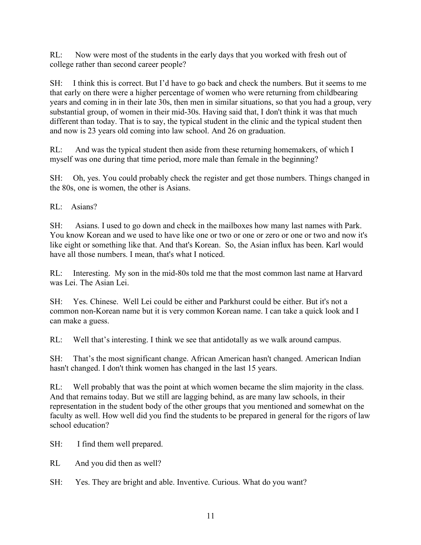RL: Now were most of the students in the early days that you worked with fresh out of college rather than second career people?

SH: I think this is correct. But I'd have to go back and check the numbers. But it seems to me that early on there were a higher percentage of women who were returning from childbearing years and coming in in their late 30s, then men in similar situations, so that you had a group, very substantial group, of women in their mid-30s. Having said that, I don't think it was that much different than today. That is to say, the typical student in the clinic and the typical student then and now is 23 years old coming into law school. And 26 on graduation.

RL: And was the typical student then aside from these returning homemakers, of which I myself was one during that time period, more male than female in the beginning?

SH: Oh, yes. You could probably check the register and get those numbers. Things changed in the 80s, one is women, the other is Asians.

RL: Asians?

SH: Asians. I used to go down and check in the mailboxes how many last names with Park. You know Korean and we used to have like one or two or one or zero or one or two and now it's like eight or something like that. And that's Korean. So, the Asian influx has been. Karl would have all those numbers. I mean, that's what I noticed.

RL: Interesting. My son in the mid-80s told me that the most common last name at Harvard was Lei. The Asian Lei.

SH: Yes. Chinese. Well Lei could be either and Parkhurst could be either. But it's not a common non-Korean name but it is very common Korean name. I can take a quick look and I can make a guess.

RL: Well that's interesting. I think we see that antidotally as we walk around campus.

SH: That's the most significant change. African American hasn't changed. American Indian hasn't changed. I don't think women has changed in the last 15 years.

RL: Well probably that was the point at which women became the slim majority in the class. And that remains today. But we still are lagging behind, as are many law schools, in their representation in the student body of the other groups that you mentioned and somewhat on the faculty as well. How well did you find the students to be prepared in general for the rigors of law school education?

SH: I find them well prepared.

RL And you did then as well?

SH: Yes. They are bright and able. Inventive. Curious. What do you want?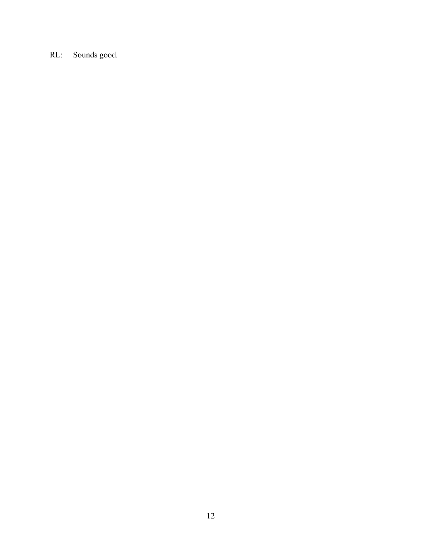RL: Sounds good.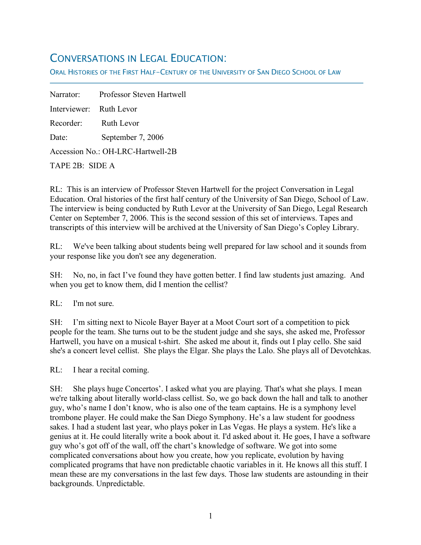## CONVERSATIONS IN LEGAL EDUCATION:

ORAL HISTORIES OF THE FIRST HALF-CENTURY OF THE UNIVERSITY OF SAN DIEGO SCHOOL OF LAW

Narrator: Professor Steven Hartwell Interviewer: Ruth Levor Recorder: Ruth Levor Date: September 7, 2006 Accession No.: OH-LRC-Hartwell-2B TAPE 2B: SIDE A

RL: This is an interview of Professor Steven Hartwell for the project Conversation in Legal Education. Oral histories of the first half century of the University of San Diego, School of Law. The interview is being conducted by Ruth Levor at the University of San Diego, Legal Research Center on September 7, 2006. This is the second session of this set of interviews. Tapes and transcripts of this interview will be archived at the University of San Diego's Copley Library.

RL: We've been talking about students being well prepared for law school and it sounds from your response like you don't see any degeneration.

SH: No, no, in fact I've found they have gotten better. I find law students just amazing. And when you get to know them, did I mention the cellist?

RL: I'm not sure.

f

SH: I'm sitting next to Nicole Bayer Bayer at a Moot Court sort of a competition to pick people for the team. She turns out to be the student judge and she says, she asked me, Professor Hartwell, you have on a musical t-shirt. She asked me about it, finds out I play cello. She said she's a concert level cellist. She plays the Elgar. She plays the Lalo. She plays all of Devotchkas.

RL: I hear a recital coming.

SH: She plays huge Concertos'. I asked what you are playing. That's what she plays. I mean we're talking about literally world-class cellist. So, we go back down the hall and talk to another guy, who's name I don't know, who is also one of the team captains. He is a symphony level trombone player. He could make the San Diego Symphony. He's a law student for goodness sakes. I had a student last year, who plays poker in Las Vegas. He plays a system. He's like a genius at it. He could literally write a book about it. I'd asked about it. He goes, I have a software guy who's got off of the wall, off the chart's knowledge of software. We got into some complicated conversations about how you create, how you replicate, evolution by having complicated programs that have non predictable chaotic variables in it. He knows all this stuff. I mean these are my conversations in the last few days. Those law students are astounding in their backgrounds. Unpredictable.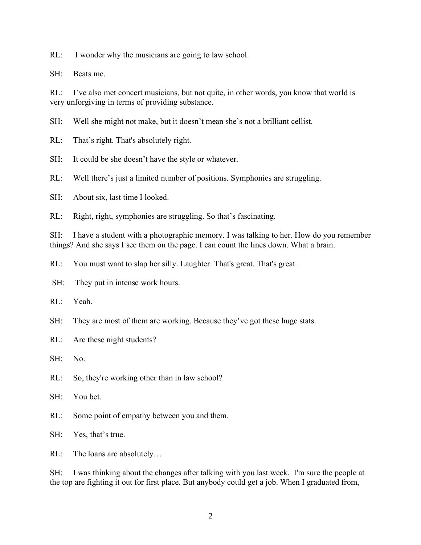RL: I wonder why the musicians are going to law school.

SH: Beats me.

RL: I've also met concert musicians, but not quite, in other words, you know that world is very unforgiving in terms of providing substance.

SH: Well she might not make, but it doesn't mean she's not a brilliant cellist.

RL: That's right. That's absolutely right.

SH: It could be she doesn't have the style or whatever.

RL: Well there's just a limited number of positions. Symphonies are struggling.

SH: About six, last time I looked.

RL: Right, right, symphonies are struggling. So that's fascinating.

SH: I have a student with a photographic memory. I was talking to her. How do you remember things? And she says I see them on the page. I can count the lines down. What a brain.

RL: You must want to slap her silly. Laughter. That's great. That's great.

SH: They put in intense work hours.

RL: Yeah.

SH: They are most of them are working. Because they've got these huge stats.

RL: Are these night students?

SH: No.

RL: So, they're working other than in law school?

SH: You bet.

RL: Some point of empathy between you and them.

SH: Yes, that's true.

RL: The loans are absolutely…

SH: I was thinking about the changes after talking with you last week. I'm sure the people at the top are fighting it out for first place. But anybody could get a job. When I graduated from,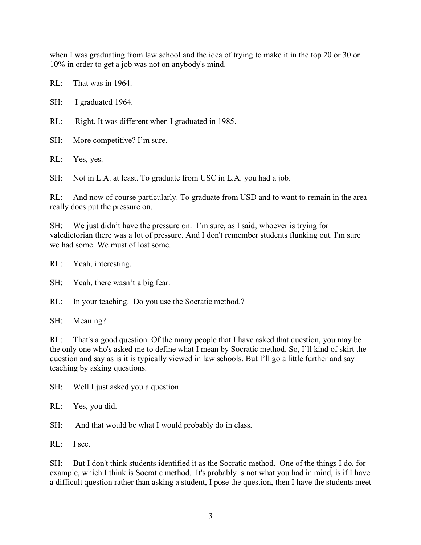when I was graduating from law school and the idea of trying to make it in the top 20 or 30 or 10% in order to get a job was not on anybody's mind.

RL: That was in 1964.

SH: I graduated 1964.

RL: Right. It was different when I graduated in 1985.

SH: More competitive? I'm sure.

RL: Yes, yes.

SH: Not in L.A. at least. To graduate from USC in L.A. you had a job.

RL: And now of course particularly. To graduate from USD and to want to remain in the area really does put the pressure on.

SH: We just didn't have the pressure on. I'm sure, as I said, whoever is trying for valedictorian there was a lot of pressure. And I don't remember students flunking out. I'm sure we had some. We must of lost some.

RL: Yeah, interesting.

SH: Yeah, there wasn't a big fear.

RL: In your teaching. Do you use the Socratic method.?

SH: Meaning?

RL: That's a good question. Of the many people that I have asked that question, you may be the only one who's asked me to define what I mean by Socratic method. So, I'll kind of skirt the question and say as is it is typically viewed in law schools. But I'll go a little further and say teaching by asking questions.

SH: Well I just asked you a question.

RL: Yes, you did.

SH: And that would be what I would probably do in class.

RL: I see.

SH: But I don't think students identified it as the Socratic method. One of the things I do, for example, which I think is Socratic method. It's probably is not what you had in mind, is if I have a difficult question rather than asking a student, I pose the question, then I have the students meet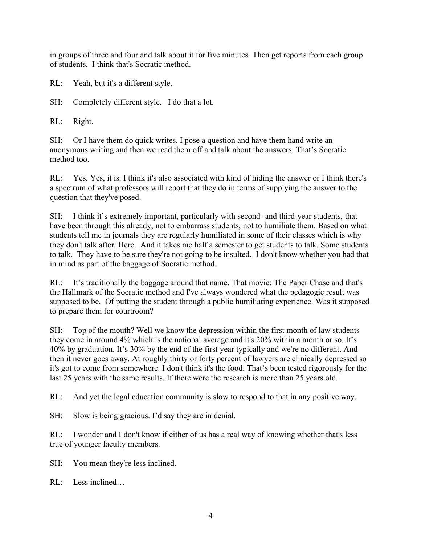in groups of three and four and talk about it for five minutes. Then get reports from each group of students. I think that's Socratic method.

RL: Yeah, but it's a different style.

SH: Completely different style. I do that a lot.

RL: Right.

SH: Or I have them do quick writes. I pose a question and have them hand write an anonymous writing and then we read them off and talk about the answers. That's Socratic method too.

RL: Yes. Yes, it is. I think it's also associated with kind of hiding the answer or I think there's a spectrum of what professors will report that they do in terms of supplying the answer to the question that they've posed.

SH: I think it's extremely important, particularly with second- and third-year students, that have been through this already, not to embarrass students, not to humiliate them. Based on what students tell me in journals they are regularly humiliated in some of their classes which is why they don't talk after. Here. And it takes me half a semester to get students to talk. Some students to talk. They have to be sure they're not going to be insulted. I don't know whether you had that in mind as part of the baggage of Socratic method.

RL: It's traditionally the baggage around that name. That movie: The Paper Chase and that's the Hallmark of the Socratic method and I've always wondered what the pedagogic result was supposed to be. Of putting the student through a public humiliating experience. Was it supposed to prepare them for courtroom?

SH: Top of the mouth? Well we know the depression within the first month of law students they come in around 4% which is the national average and it's 20% within a month or so. It's 40% by graduation. It's 30% by the end of the first year typically and we're no different. And then it never goes away. At roughly thirty or forty percent of lawyers are clinically depressed so it's got to come from somewhere. I don't think it's the food. That's been tested rigorously for the last 25 years with the same results. If there were the research is more than 25 years old.

RL: And yet the legal education community is slow to respond to that in any positive way.

SH: Slow is being gracious. I'd say they are in denial.

RL: I wonder and I don't know if either of us has a real way of knowing whether that's less true of younger faculty members.

- SH: You mean they're less inclined.
- RL: Less inclined…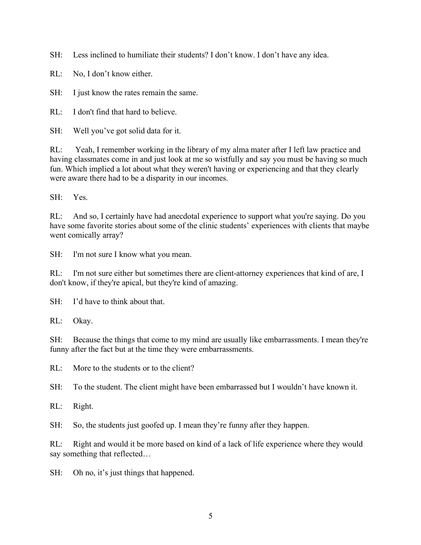SH: Less inclined to humiliate their students? I don't know. I don't have any idea.

RL: No, I don't know either.

SH: I just know the rates remain the same.

RL: I don't find that hard to believe.

SH: Well you've got solid data for it.

RL: Yeah, I remember working in the library of my alma mater after I left law practice and having classmates come in and just look at me so wistfully and say you must be having so much fun. Which implied a lot about what they weren't having or experiencing and that they clearly were aware there had to be a disparity in our incomes.

SH: Yes.

RL: And so, I certainly have had anecdotal experience to support what you're saying. Do you have some favorite stories about some of the clinic students' experiences with clients that maybe went comically array?

SH: I'm not sure I know what you mean.

RL: I'm not sure either but sometimes there are client-attorney experiences that kind of are, I don't know, if they're apical, but they're kind of amazing.

 $SH: I'd$  have to think about that.

RL: Okay.

SH: Because the things that come to my mind are usually like embarrassments. I mean they're funny after the fact but at the time they were embarrassments.

RL: More to the students or to the client?

SH: To the student. The client might have been embarrassed but I wouldn't have known it.

RL: Right.

SH: So, the students just goofed up. I mean they're funny after they happen.

RL: Right and would it be more based on kind of a lack of life experience where they would say something that reflected…

SH: Oh no, it's just things that happened.